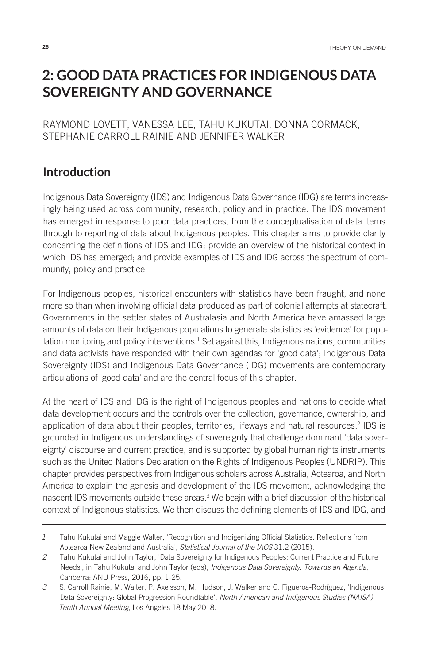# **2: GOOD DATA PRACTICES FOR INDIGENOUS DATA SOVEREIGNTY AND GOVERNANCE**

RAYMOND LOVETT, VANESSA LEE, TAHU KUKUTAI, DONNA CORMACK, STEPHANIE CARROLL RAINIE AND JENNIFER WALKER

### **Introduction**

Indigenous Data Sovereignty (IDS) and Indigenous Data Governance (IDG) are terms increasingly being used across community, research, policy and in practice. The IDS movement has emerged in response to poor data practices, from the conceptualisation of data items through to reporting of data about Indigenous peoples. This chapter aims to provide clarity concerning the definitions of IDS and IDG; provide an overview of the historical context in which IDS has emerged; and provide examples of IDS and IDG across the spectrum of community, policy and practice.

For Indigenous peoples, historical encounters with statistics have been fraught, and none more so than when involving official data produced as part of colonial attempts at statecraft. Governments in the settler states of Australasia and North America have amassed large amounts of data on their Indigenous populations to generate statistics as 'evidence' for population monitoring and policy interventions.<sup>1</sup> Set against this, Indigenous nations, communities and data activists have responded with their own agendas for 'good data'; Indigenous Data Sovereignty (IDS) and Indigenous Data Governance (IDG) movements are contemporary articulations of 'good data' and are the central focus of this chapter.

At the heart of IDS and IDG is the right of Indigenous peoples and nations to decide what data development occurs and the controls over the collection, governance, ownership, and application of data about their peoples, territories, lifeways and natural resources.<sup>2</sup> IDS is grounded in Indigenous understandings of sovereignty that challenge dominant 'data sovereignty' discourse and current practice, and is supported by global human rights instruments such as the United Nations Declaration on the Rights of Indigenous Peoples (UNDRIP). This chapter provides perspectives from Indigenous scholars across Australia, Aotearoa, and North America to explain the genesis and development of the IDS movement, acknowledging the nascent IDS movements outside these areas.<sup>3</sup> We begin with a brief discussion of the historical context of Indigenous statistics. We then discuss the defining elements of IDS and IDG, and

*<sup>1</sup>* Tahu Kukutai and Maggie Walter, 'Recognition and Indigenizing Official Statistics: Reflections from Aotearoa New Zealand and Australia', *Statistical Journal of the IAOS* 31.2 (2015).

*<sup>2</sup>* Tahu Kukutai and John Taylor, 'Data Sovereignty for Indigenous Peoples: Current Practice and Future Needs', in Tahu Kukutai and John Taylor (eds), *Indigenous Data Sovereignty: Towards an Agenda*, Canberra: ANU Press, 2016, pp. 1-25.

*<sup>3</sup>* S. Carroll Rainie, M. Walter, P. Axelsson, M. Hudson, J. Walker and O. Figueroa-Rodríguez, 'Indigenous Data Sovereignty: Global Progression Roundtable', *North American and Indigenous Studies (NAISA) Tenth Annual Meeting*, Los Angeles 18 May 2018.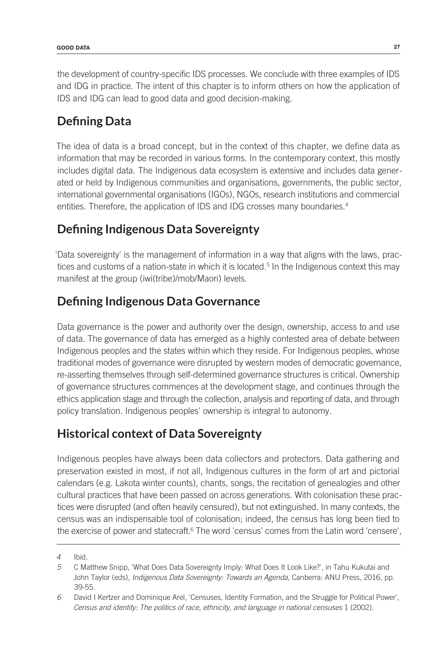the development of country-specific IDS processes. We conclude with three examples of IDS and IDG in practice. The intent of this chapter is to inform others on how the application of IDS and IDG can lead to good data and good decision-making.

## **Defining Data**

The idea of data is a broad concept, but in the context of this chapter, we define data as information that may be recorded in various forms. In the contemporary context, this mostly includes digital data. The Indigenous data ecosystem is extensive and includes data generated or held by Indigenous communities and organisations, governments, the public sector, international governmental organisations (IGOs), NGOs, research institutions and commercial entities. Therefore, the application of IDS and IDG crosses many boundaries.<sup>4</sup>

## **Defining Indigenous Data Sovereignty**

'Data sovereignty' is the management of information in a way that aligns with the laws, practices and customs of a nation-state in which it is located.<sup>5</sup> In the Indigenous context this may manifest at the group (iwi(tribe)/mob/Maori) levels.

# **Defining Indigenous Data Governance**

Data governance is the power and authority over the design, ownership, access to and use of data. The governance of data has emerged as a highly contested area of debate between Indigenous peoples and the states within which they reside. For Indigenous peoples, whose traditional modes of governance were disrupted by western modes of democratic governance, re-asserting themselves through self-determined governance structures is critical. Ownership of governance structures commences at the development stage, and continues through the ethics application stage and through the collection, analysis and reporting of data, and through policy translation. Indigenous peoples' ownership is integral to autonomy.

## **Historical context of Data Sovereignty**

Indigenous peoples have always been data collectors and protectors. Data gathering and preservation existed in most, if not all, Indigenous cultures in the form of art and pictorial calendars (e.g. Lakota winter counts), chants, songs, the recitation of genealogies and other cultural practices that have been passed on across generations. With colonisation these practices were disrupted (and often heavily censured), but not extinguished. In many contexts, the census was an indispensable tool of colonisation; indeed, the census has long been tied to the exercise of power and statecraft.<sup>6</sup> The word 'census' comes from the Latin word 'censere',

*<sup>4</sup>* Ibid.

*<sup>5</sup>* C Matthew Snipp, 'What Does Data Sovereignty Imply: What Does It Look Like?', in Tahu Kukutai and John Taylor (eds), *Indigenous Data Sovereignty: Towards an Agenda*, Canberra: ANU Press, 2016, pp. 39-55.

*<sup>6</sup>* David I Kertzer and Dominique Arel, 'Censuses, Identity Formation, and the Struggle for Political Power', *Census and identity: The politics of race, ethnicity, and language in national censuses* 1 (2002).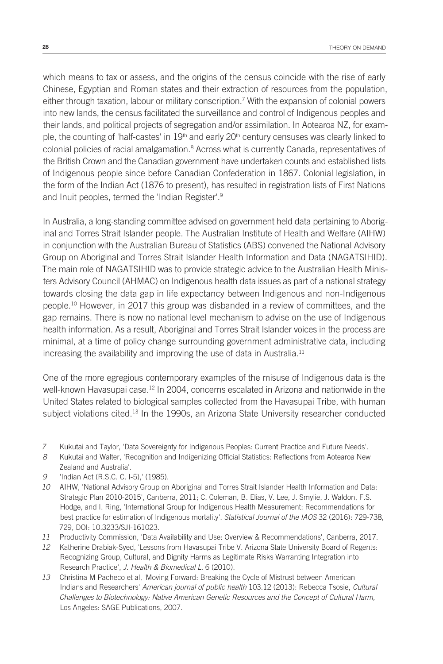which means to tax or assess, and the origins of the census coincide with the rise of early Chinese, Egyptian and Roman states and their extraction of resources from the population, either through taxation, labour or military conscription.<sup>7</sup> With the expansion of colonial powers into new lands, the census facilitated the surveillance and control of Indigenous peoples and their lands, and political projects of segregation and/or assimilation. In Aotearoa NZ, for example, the counting of 'half-castes' in  $19<sup>th</sup>$  and early 20<sup>th</sup> century censuses was clearly linked to colonial policies of racial amalgamation.<sup>8</sup> Across what is currently Canada, representatives of the British Crown and the Canadian government have undertaken counts and established lists of Indigenous people since before Canadian Confederation in 1867. Colonial legislation, in the form of the Indian Act (1876 to present), has resulted in registration lists of First Nations and Inuit peoples, termed the 'Indian Register'.9

In Australia, a long-standing committee advised on government held data pertaining to Aboriginal and Torres Strait Islander people. The Australian Institute of Health and Welfare (AIHW) in conjunction with the Australian Bureau of Statistics (ABS) convened the National Advisory Group on Aboriginal and Torres Strait Islander Health Information and Data (NAGATSIHID). The main role of NAGATSIHID was to provide strategic advice to the Australian Health Ministers Advisory Council (AHMAC) on Indigenous health data issues as part of a national strategy towards closing the data gap in life expectancy between Indigenous and non-Indigenous people.10 However, in 2017 this group was disbanded in a review of committees, and the gap remains. There is now no national level mechanism to advise on the use of Indigenous health information. As a result, Aboriginal and Torres Strait Islander voices in the process are minimal, at a time of policy change surrounding government administrative data, including increasing the availability and improving the use of data in Australia.<sup>11</sup>

One of the more egregious contemporary examples of the misuse of Indigenous data is the well-known Havasupai case.<sup>12</sup> In 2004, concerns escalated in Arizona and nationwide in the United States related to biological samples collected from the Havasupai Tribe, with human subject violations cited.13 In the 1990s, an Arizona State University researcher conducted

*<sup>7</sup>* Kukutai and Taylor, 'Data Sovereignty for Indigenous Peoples: Current Practice and Future Needs'.

*<sup>8</sup>* Kukutai and Walter, 'Recognition and Indigenizing Official Statistics: Reflections from Aotearoa New Zealand and Australia'.

*<sup>9</sup>* 'Indian Act (R.S.C. C. I-5),' (1985).

*<sup>10</sup>* AIHW, 'National Advisory Group on Aboriginal and Torres Strait Islander Health Information and Data: Strategic Plan 2010-2015', Canberra, 2011; C. Coleman, B. Elias, V. Lee, J. Smylie, J. Waldon, F.S. Hodge, and I. Ring, 'International Group for Indigenous Health Measurement: Recommendations for best practice for estimation of Indigenous mortality'. *Statistical Journal of the IAOS* 32 (2016): 729-738, 729, DOI: 10.3233/SJI-161023.

*<sup>11</sup>* Productivity Commission, 'Data Availability and Use: Overview & Recommendations', Canberra, 2017.

*<sup>12</sup>* Katherine Drabiak-Syed, 'Lessons from Havasupai Tribe V. Arizona State University Board of Regents: Recognizing Group, Cultural, and Dignity Harms as Legitimate Risks Warranting Integration into Research Practice', *J. Health & Biomedical L.* 6 (2010).

*<sup>13</sup>* Christina M Pacheco et al, 'Moving Forward: Breaking the Cycle of Mistrust between American Indians and Researchers' *American journal of public health* 103.12 (2013): Rebecca Tsosie, *Cultural Challenges to Biotechnology: Native American Genetic Resources and the Concept of Cultural Harm,* Los Angeles: SAGE Publications, 2007.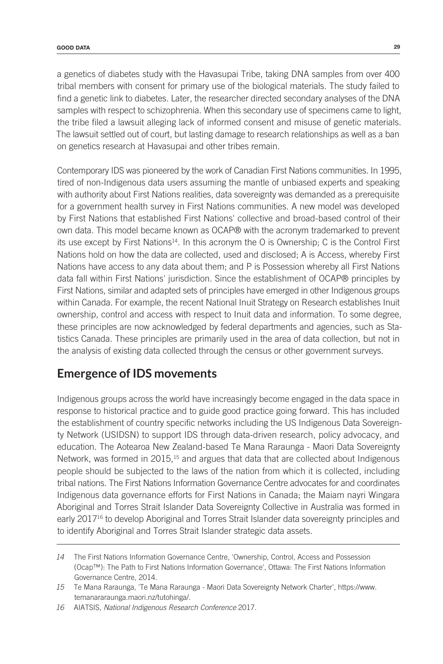a genetics of diabetes study with the Havasupai Tribe, taking DNA samples from over 400 tribal members with consent for primary use of the biological materials. The study failed to find a genetic link to diabetes. Later, the researcher directed secondary analyses of the DNA samples with respect to schizophrenia. When this secondary use of specimens came to light, the tribe filed a lawsuit alleging lack of informed consent and misuse of genetic materials. The lawsuit settled out of court, but lasting damage to research relationships as well as a ban on genetics research at Havasupai and other tribes remain.

Contemporary IDS was pioneered by the work of Canadian First Nations communities. In 1995, tired of non-Indigenous data users assuming the mantle of unbiased experts and speaking with authority about First Nations realities, data sovereignty was demanded as a prerequisite for a government health survey in First Nations communities. A new model was developed by First Nations that established First Nations' collective and broad-based control of their own data. This model became known as OCAP® with the acronym trademarked to prevent its use except by First Nations<sup>14</sup>. In this acronym the O is Ownership; C is the Control First Nations hold on how the data are collected, used and disclosed; A is Access, whereby First Nations have access to any data about them; and P is Possession whereby all First Nations data fall within First Nations' jurisdiction. Since the establishment of OCAP® principles by First Nations, similar and adapted sets of principles have emerged in other Indigenous groups within Canada. For example, the recent National Inuit Strategy on Research establishes Inuit ownership, control and access with respect to Inuit data and information. To some degree, these principles are now acknowledged by federal departments and agencies, such as Statistics Canada. These principles are primarily used in the area of data collection, but not in the analysis of existing data collected through the census or other government surveys.

### **Emergence of IDS movements**

Indigenous groups across the world have increasingly become engaged in the data space in response to historical practice and to guide good practice going forward. This has included the establishment of country specific networks including the US Indigenous Data Sovereignty Network (USIDSN) to support IDS through data-driven research, policy advocacy, and education. The Aotearoa New Zealand-based Te Mana Raraunga - Maori Data Sovereignty Network, was formed in  $2015$ ,<sup>15</sup> and argues that data that are collected about Indigenous people should be subjected to the laws of the nation from which it is collected, including tribal nations. The First Nations Information Governance Centre advocates for and coordinates Indigenous data governance efforts for First Nations in Canada; the Maiam nayri Wingara Aboriginal and Torres Strait Islander Data Sovereignty Collective in Australia was formed in early 2017<sup>16</sup> to develop Aboriginal and Torres Strait Islander data sovereignty principles and to identify Aboriginal and Torres Strait Islander strategic data assets.

*<sup>14</sup>* The First Nations Information Governance Centre, 'Ownership, Control, Access and Possession (Ocap™): The Path to First Nations Information Governance', Ottawa: The First Nations Information Governance Centre, 2014.

*<sup>15</sup>* Te Mana Raraunga, 'Te Mana Raraunga - Maori Data Sovereignty Network Charter', https://www. temanararaunga.maori.nz/tutohinga/.

*<sup>16</sup>* AIATSIS, *National Indigenous Research Conference* 2017.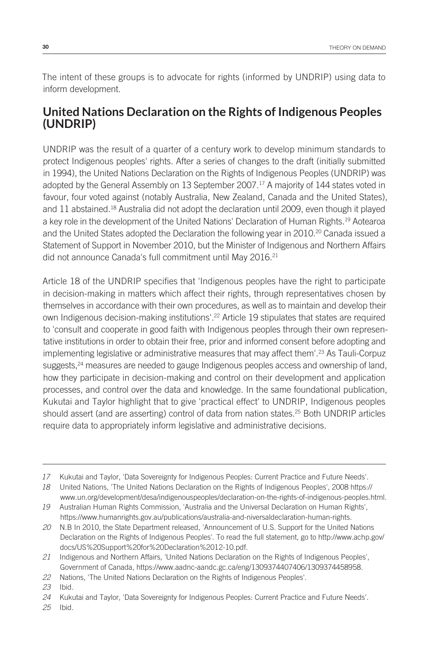The intent of these groups is to advocate for rights (informed by UNDRIP) using data to inform development.

### **United Nations Declaration on the Rights of Indigenous Peoples (UNDRIP)**

UNDRIP was the result of a quarter of a century work to develop minimum standards to protect Indigenous peoples' rights. After a series of changes to the draft (initially submitted in 1994), the United Nations Declaration on the Rights of Indigenous Peoples (UNDRIP) was adopted by the General Assembly on 13 September 2007.17 A majority of 144 states voted in favour, four voted against (notably Australia, New Zealand, Canada and the United States), and 11 abstained.<sup>18</sup> Australia did not adopt the declaration until 2009, even though it played a key role in the development of the United Nations' Declaration of Human Rights.19 Aotearoa and the United States adopted the Declaration the following year in 2010.20 Canada issued a Statement of Support in November 2010, but the Minister of Indigenous and Northern Affairs did not announce Canada's full commitment until May 2016.<sup>21</sup>

Article 18 of the UNDRIP specifies that 'Indigenous peoples have the right to participate in decision-making in matters which affect their rights, through representatives chosen by themselves in accordance with their own procedures, as well as to maintain and develop their own Indigenous decision-making institutions'.22 Article 19 stipulates that states are required to 'consult and cooperate in good faith with Indigenous peoples through their own representative institutions in order to obtain their free, prior and informed consent before adopting and implementing legislative or administrative measures that may affect them'.<sup>23</sup> As Tauli-Corpuz suggests,<sup>24</sup> measures are needed to gauge Indigenous peoples access and ownership of land, how they participate in decision-making and control on their development and application processes, and control over the data and knowledge. In the same foundational publication, Kukutai and Taylor highlight that to give 'practical effect' to UNDRIP, Indigenous peoples should assert (and are asserting) control of data from nation states.25 Both UNDRIP articles require data to appropriately inform legislative and administrative decisions.

- *22* Nations, 'The United Nations Declaration on the Rights of Indigenous Peoples'.
- *23* Ibid.

*25* Ibid.

*<sup>17</sup>* Kukutai and Taylor, 'Data Sovereignty for Indigenous Peoples: Current Practice and Future Needs'.

*<sup>18</sup>* United Nations, 'The United Nations Declaration on the Rights of Indigenous Peoples', 2008 https:// www.un.org/development/desa/indigenouspeoples/declaration-on-the-rights-of-indigenous-peoples.html.

*<sup>19</sup>* Australian Human Rights Commission, 'Australia and the Universal Declaration on Human Rights', https://www.humanrights.gov.au/publications/australia-and-niversaldeclaration-human-rights.

*<sup>20</sup>* N.B In 2010, the State Department released, 'Announcement of U.S. Support for the United Nations Declaration on the Rights of Indigenous Peoples'. To read the full statement, go to http://www.achp.gov/ docs/US%20Support%20for%20Declaration%2012-10.pdf.

*<sup>21</sup>* Indigenous and Northern Affairs, 'United Nations Declaration on the Rights of Indigenous Peoples', Government of Canada, https://www.aadnc-aandc.gc.ca/eng/1309374407406/1309374458958.

*<sup>24</sup>* Kukutai and Taylor, 'Data Sovereignty for Indigenous Peoples: Current Practice and Future Needs'.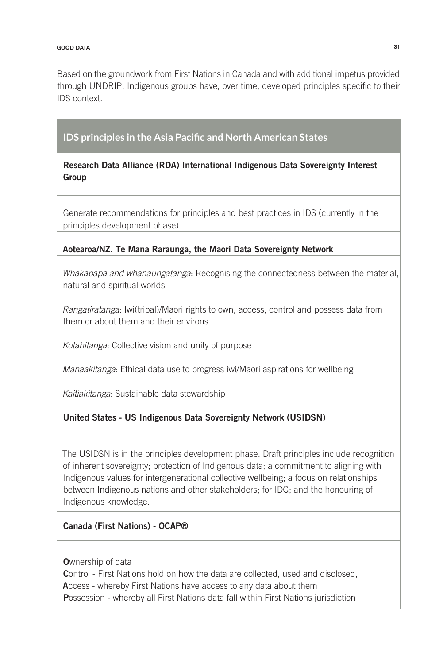Based on the groundwork from First Nations in Canada and with additional impetus provided through UNDRIP, Indigenous groups have, over time, developed principles specific to their IDS context.

### **IDS principles in the Asia Pacific and North American States**

**Research Data Alliance (RDA) International Indigenous Data Sovereignty Interest Group**

Generate recommendations for principles and best practices in IDS (currently in the principles development phase).

#### **Aotearoa/NZ. Te Mana Raraunga, the Maori Data Sovereignty Network**

*Whakapapa and whanaungatanga*: Recognising the connectedness between the material, natural and spiritual worlds

*Rangatiratanga*: Iwi(tribal)/Maori rights to own, access, control and possess data from them or about them and their environs

*Kotahitanga*: Collective vision and unity of purpose

*Manaakitanga*: Ethical data use to progress iwi/Maori aspirations for wellbeing

*Kaitiakitanga*: Sustainable data stewardship

#### **United States - US Indigenous Data Sovereignty Network (USIDSN)**

The USIDSN is in the principles development phase. Draft principles include recognition of inherent sovereignty; protection of Indigenous data; a commitment to aligning with Indigenous values for intergenerational collective wellbeing; a focus on relationships between Indigenous nations and other stakeholders; for IDG; and the honouring of Indigenous knowledge.

#### **Canada (First Nations) - OCAP®**

**O**wnership of data **Control - First Nations hold on how the data are collected, used and disclosed, A**ccess - whereby First Nations have access to any data about them **P**ossession - whereby all First Nations data fall within First Nations jurisdiction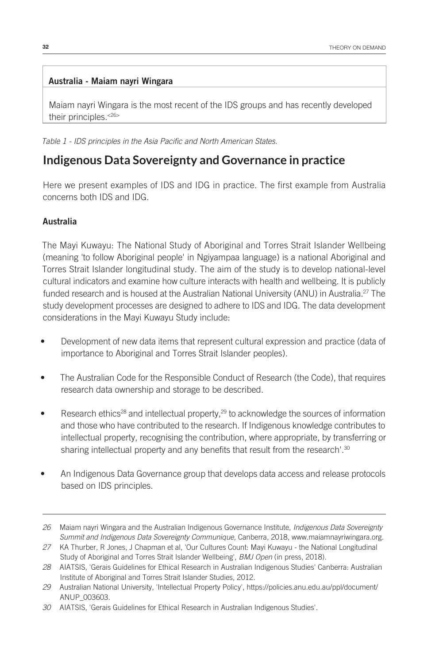#### **Australia - Maiam nayri Wingara**

Maiam nayri Wingara is the most recent of the IDS groups and has recently developed their principles.<26>

*Table 1 - IDS principles in the Asia Pacific and North American States.* <sup>26</sup>

### **Indigenous Data Sovereignty and Governance in practice**

Here we present examples of IDS and IDG in practice. The first example from Australia concerns both IDS and IDG.

#### **Australia**

The Mayi Kuwayu: The National Study of Aboriginal and Torres Strait Islander Wellbeing (meaning 'to follow Aboriginal people' in Ngiyampaa language) is a national Aboriginal and Torres Strait Islander longitudinal study. The aim of the study is to develop national-level cultural indicators and examine how culture interacts with health and wellbeing. It is publicly funded research and is housed at the Australian National University (ANU) in Australia.<sup>27</sup> The study development processes are designed to adhere to IDS and IDG. The data development considerations in the Mayi Kuwayu Study include:

- Development of new data items that represent cultural expression and practice (data of importance to Aboriginal and Torres Strait Islander peoples).
- The Australian Code for the Responsible Conduct of Research (the Code), that requires research data ownership and storage to be described.
- Research ethics<sup>28</sup> and intellectual property,<sup>29</sup> to acknowledge the sources of information and those who have contributed to the research. If Indigenous knowledge contributes to intellectual property, recognising the contribution, where appropriate, by transferring or sharing intellectual property and any benefits that result from the research'.<sup>30</sup>
- An Indigenous Data Governance group that develops data access and release protocols based on IDS principles.

*<sup>26</sup>* Maiam nayri Wingara and the Australian Indigenous Governance Institute, *Indigenous Data Sovereignty Summit and Indigenous Data Sovereignty Communique,* Canberra, 2018, www.maiamnayriwingara.org.

*<sup>27</sup>* KA Thurber, R Jones, J Chapman et al, 'Our Cultures Count: Mayi Kuwayu - the National Longitudinal Study of Aboriginal and Torres Strait Islander Wellbeing', *BMJ Open* (in press, 2018).

*<sup>28</sup>* AIATSIS, 'Gerais Guidelines for Ethical Research in Australian Indigenous Studies' Canberra: Australian Institute of Aboriginal and Torres Strait Islander Studies, 2012.

*<sup>29</sup>* Australian National University, 'Intellectual Property Policy', https://policies.anu.edu.au/ppl/document/ ANUP\_003603.

*<sup>30</sup>* AIATSIS, 'Gerais Guidelines for Ethical Research in Australian Indigenous Studies'.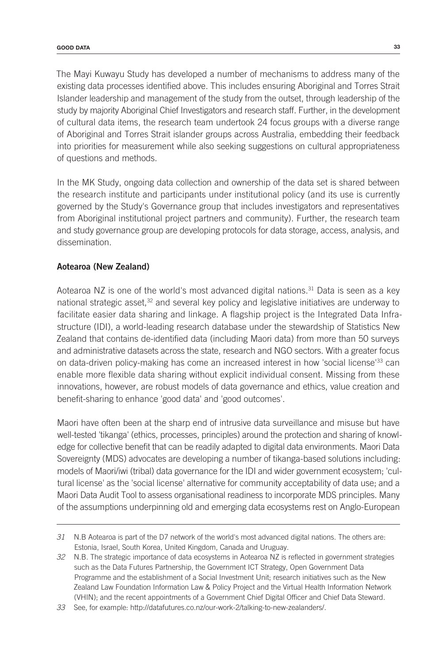The Mayi Kuwayu Study has developed a number of mechanisms to address many of the existing data processes identified above. This includes ensuring Aboriginal and Torres Strait Islander leadership and management of the study from the outset, through leadership of the study by majority Aboriginal Chief Investigators and research staff. Further, in the development of cultural data items, the research team undertook 24 focus groups with a diverse range of Aboriginal and Torres Strait islander groups across Australia, embedding their feedback into priorities for measurement while also seeking suggestions on cultural appropriateness of questions and methods.

In the MK Study, ongoing data collection and ownership of the data set is shared between the research institute and participants under institutional policy (and its use is currently governed by the Study's Governance group that includes investigators and representatives from Aboriginal institutional project partners and community). Further, the research team and study governance group are developing protocols for data storage, access, analysis, and dissemination.

#### **Aotearoa (New Zealand)**

Aotearoa NZ is one of the world's most advanced digital nations. $31$  Data is seen as a key national strategic asset, $32$  and several key policy and legislative initiatives are underway to facilitate easier data sharing and linkage. A flagship project is the Integrated Data Infrastructure (IDI), a world-leading research database under the stewardship of Statistics New Zealand that contains de-identified data (including Maori data) from more than 50 surveys and administrative datasets across the state, research and NGO sectors. With a greater focus on data-driven policy-making has come an increased interest in how 'social license'<sup>33</sup> can enable more flexible data sharing without explicit individual consent. Missing from these innovations, however, are robust models of data governance and ethics, value creation and benefit-sharing to enhance 'good data' and 'good outcomes'.

Maori have often been at the sharp end of intrusive data surveillance and misuse but have well-tested 'tikanga' (ethics, processes, principles) around the protection and sharing of knowledge for collective benefit that can be readily adapted to digital data environments. Maori Data Sovereignty (MDS) advocates are developing a number of tikanga-based solutions including: models of Maori/iwi (tribal) data governance for the IDI and wider government ecosystem; 'cultural license' as the 'social license' alternative for community acceptability of data use; and a Maori Data Audit Tool to assess organisational readiness to incorporate MDS principles. Many of the assumptions underpinning old and emerging data ecosystems rest on Anglo-European

*<sup>31</sup>* N.B Aotearoa is part of the D7 network of the world's most advanced digital nations. The others are: Estonia, Israel, South Korea, United Kingdom, Canada and Uruguay.

*<sup>32</sup>* N.B. The strategic importance of data ecosystems in Aotearoa NZ is reflected in government strategies such as the Data Futures Partnership, the Government ICT Strategy, Open Government Data Programme and the establishment of a Social Investment Unit; research initiatives such as the New Zealand Law Foundation Information Law & Policy Project and the Virtual Health Information Network (VHIN); and the recent appointments of a Government Chief Digital Officer and Chief Data Steward.

*<sup>33</sup>* See, for example: http://datafutures.co.nz/our-work-2/talking-to-new-zealanders/.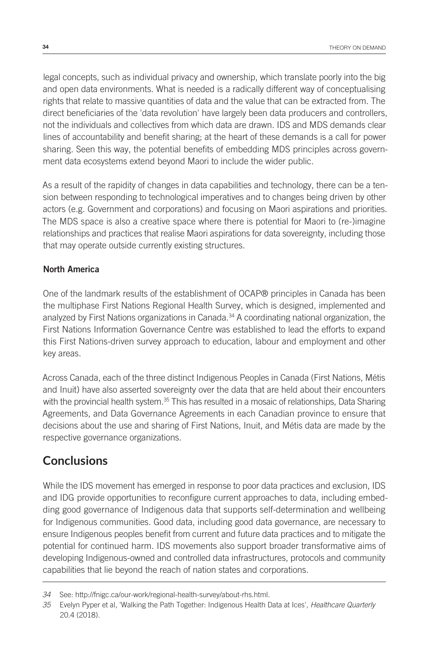legal concepts, such as individual privacy and ownership, which translate poorly into the big and open data environments. What is needed is a radically different way of conceptualising rights that relate to massive quantities of data and the value that can be extracted from. The direct beneficiaries of the 'data revolution' have largely been data producers and controllers, not the individuals and collectives from which data are drawn. IDS and MDS demands clear lines of accountability and benefit sharing; at the heart of these demands is a call for power sharing. Seen this way, the potential benefits of embedding MDS principles across government data ecosystems extend beyond Maori to include the wider public.

As a result of the rapidity of changes in data capabilities and technology, there can be a tension between responding to technological imperatives and to changes being driven by other actors (e.g. Government and corporations) and focusing on Maori aspirations and priorities. The MDS space is also a creative space where there is potential for Maori to (re-)imagine relationships and practices that realise Maori aspirations for data sovereignty, including those that may operate outside currently existing structures.

#### **North America**

One of the landmark results of the establishment of OCAP® principles in Canada has been the multiphase First Nations Regional Health Survey, which is designed, implemented and analyzed by First Nations organizations in Canada.34 A coordinating national organization, the First Nations Information Governance Centre was established to lead the efforts to expand this First Nations-driven survey approach to education, labour and employment and other key areas.

Across Canada, each of the three distinct Indigenous Peoples in Canada (First Nations, Métis and Inuit) have also asserted sovereignty over the data that are held about their encounters with the provincial health system.<sup>35</sup> This has resulted in a mosaic of relationships, Data Sharing Agreements, and Data Governance Agreements in each Canadian province to ensure that decisions about the use and sharing of First Nations, Inuit, and Métis data are made by the respective governance organizations.

### **Conclusions**

While the IDS movement has emerged in response to poor data practices and exclusion, IDS and IDG provide opportunities to reconfigure current approaches to data, including embedding good governance of Indigenous data that supports self-determination and wellbeing for Indigenous communities. Good data, including good data governance, are necessary to ensure Indigenous peoples benefit from current and future data practices and to mitigate the potential for continued harm. IDS movements also support broader transformative aims of developing Indigenous-owned and controlled data infrastructures, protocols and community capabilities that lie beyond the reach of nation states and corporations.

*<sup>34</sup>* See: http://fnigc.ca/our-work/regional-health-survey/about-rhs.html.

*<sup>35</sup>* Evelyn Pyper et al, 'Walking the Path Together: Indigenous Health Data at Ices', *Healthcare Quarterly* 20.4 (2018).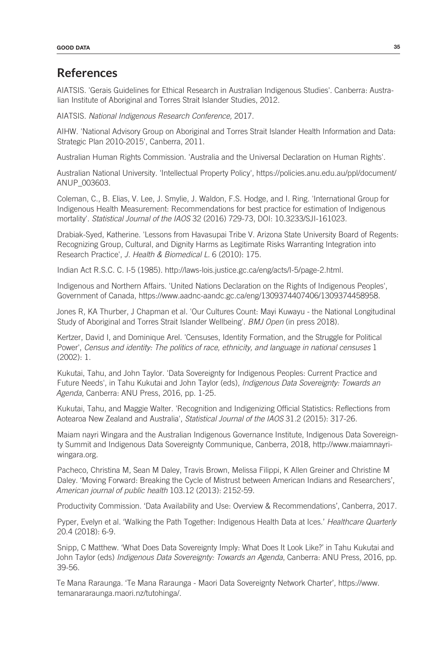### **References**

AIATSIS. 'Gerais Guidelines for Ethical Research in Australian Indigenous Studies'. Canberra: Australian Institute of Aboriginal and Torres Strait Islander Studies, 2012.

AIATSIS. *National Indigenous Research Conference,* 2017.

AIHW. 'National Advisory Group on Aboriginal and Torres Strait Islander Health Information and Data: Strategic Plan 2010-2015', Canberra, 2011.

Australian Human Rights Commission. 'Australia and the Universal Declaration on Human Rights'.

Australian National University. 'Intellectual Property Policy', https://policies.anu.edu.au/ppl/document/ ANUP\_003603.

Coleman, C., B. Elias, V. Lee, J. Smylie, J. Waldon, F.S. Hodge, and I. Ring. 'International Group for Indigenous Health Measurement: Recommendations for best practice for estimation of Indigenous mortality'. *Statistical Journal of the IAOS* 32 (2016) 729-73, DOI: 10.3233/SJI-161023.

Drabiak-Syed, Katherine. 'Lessons from Havasupai Tribe V. Arizona State University Board of Regents: Recognizing Group, Cultural, and Dignity Harms as Legitimate Risks Warranting Integration into Research Practice', *J. Health & Biomedical L.* 6 (2010): 175.

Indian Act R.S.C. C. I-5 (1985). http://laws-lois.justice.gc.ca/eng/acts/I-5/page-2.html.

Indigenous and Northern Affairs. 'United Nations Declaration on the Rights of Indigenous Peoples', Government of Canada, https://www.aadnc-aandc.gc.ca/eng/1309374407406/1309374458958.

Jones R, KA Thurber, J Chapman et al. 'Our Cultures Count: Mayi Kuwayu - the National Longitudinal Study of Aboriginal and Torres Strait Islander Wellbeing'. *BMJ Open* (in press 2018).

Kertzer, David I, and Dominique Arel. 'Censuses, Identity Formation, and the Struggle for Political Power', *Census and identity: The politics of race, ethnicity, and language in national censuses* 1 (2002): 1.

Kukutai, Tahu, and John Taylor. 'Data Sovereignty for Indigenous Peoples: Current Practice and Future Needs', in Tahu Kukutai and John Taylor (eds), *Indigenous Data Sovereignty: Towards an Agenda*, Canberra: ANU Press, 2016, pp. 1-25.

Kukutai, Tahu, and Maggie Walter. 'Recognition and Indigenizing Official Statistics: Reflections from Aotearoa New Zealand and Australia', *Statistical Journal of the IAOS* 31.2 (2015): 317-26.

Maiam nayri Wingara and the Australian Indigenous Governance Institute, Indigenous Data Sovereignty Summit and Indigenous Data Sovereignty Communique, Canberra, 2018, http://www.maiamnayriwingara.org.

Pacheco, Christina M, Sean M Daley, Travis Brown, Melissa Filippi, K Allen Greiner and Christine M Daley. 'Moving Forward: Breaking the Cycle of Mistrust between American Indians and Researchers', *American journal of public health* 103.12 (2013): 2152-59.

Productivity Commission. 'Data Availability and Use: Overview & Recommendations', Canberra, 2017.

Pyper, Evelyn et al. 'Walking the Path Together: Indigenous Health Data at Ices.' *Healthcare Quarterly* 20.4 (2018): 6-9.

Snipp, C Matthew. 'What Does Data Sovereignty Imply: What Does It Look Like?' in Tahu Kukutai and John Taylor (eds) *Indigenous Data Sovereignty: Towards an Agenda*, Canberra: ANU Press*,* 2016, pp. 39-56.

Te Mana Raraunga. 'Te Mana Raraunga - Maori Data Sovereignty Network Charter', https://www. temanararaunga.maori.nz/tutohinga/.